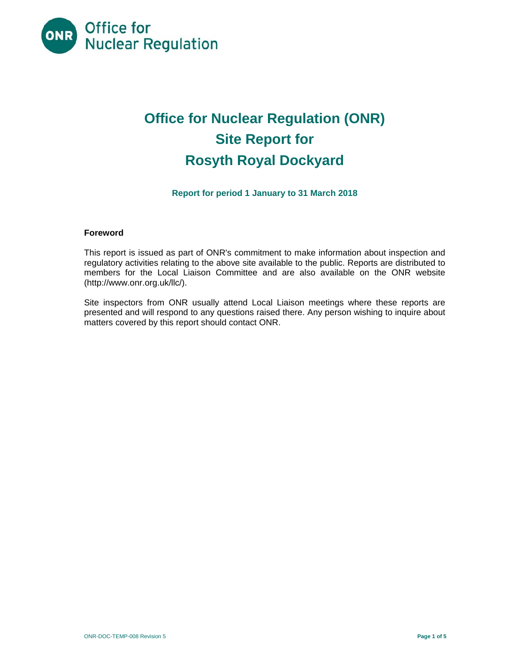

# **Office for Nuclear Regulation (ONR) Site Report for Rosyth Royal Dockyard**

# **Report for period 1 January to 31 March 2018**

# **Foreword**

This report is issued as part of ONR's commitment to make information about inspection and regulatory activities relating to the above site available to the public. Reports are distributed to members for the Local Liaison Committee and are also available on the ONR website (http://www.onr.org.uk/llc/).

Site inspectors from ONR usually attend Local Liaison meetings where these reports are presented and will respond to any questions raised there. Any person wishing to inquire about matters covered by this report should contact ONR.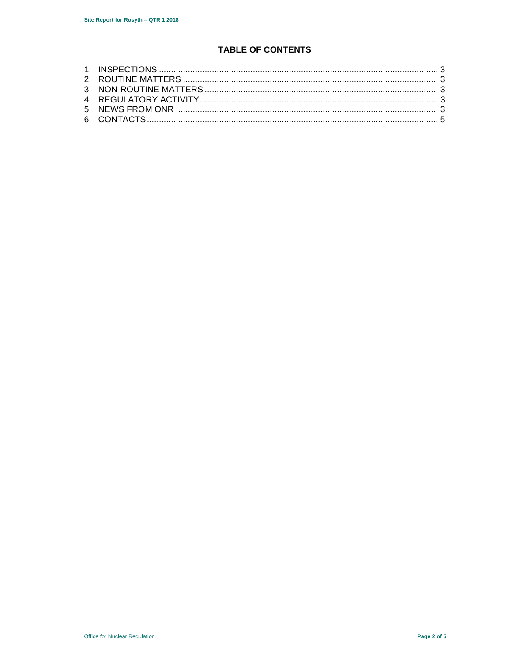# **TABLE OF CONTENTS**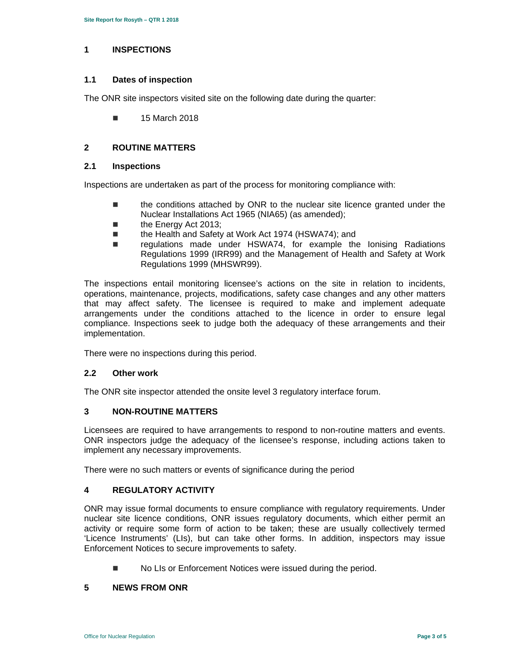## **1 INSPECTIONS**

## **1.1 Dates of inspection**

The ONR site inspectors visited site on the following date during the quarter:

15 March 2018

# **2 ROUTINE MATTERS**

# **2.1 Inspections**

Inspections are undertaken as part of the process for monitoring compliance with:

- the conditions attached by ONR to the nuclear site licence granted under the Nuclear Installations Act 1965 (NIA65) (as amended);
- the Energy Act 2013;
- the Health and Safety at Work Act 1974 (HSWA74); and
- regulations made under HSWA74, for example the lonising Radiations Regulations 1999 (IRR99) and the Management of Health and Safety at Work Regulations 1999 (MHSWR99).

The inspections entail monitoring licensee's actions on the site in relation to incidents, operations, maintenance, projects, modifications, safety case changes and any other matters that may affect safety. The licensee is required to make and implement adequate arrangements under the conditions attached to the licence in order to ensure legal compliance. Inspections seek to judge both the adequacy of these arrangements and their implementation.

There were no inspections during this period.

### **2.2 Other work**

The ONR site inspector attended the onsite level 3 regulatory interface forum.

### **3 NON-ROUTINE MATTERS**

Licensees are required to have arrangements to respond to non-routine matters and events. ONR inspectors judge the adequacy of the licensee's response, including actions taken to implement any necessary improvements.

There were no such matters or events of significance during the period

# **4 REGULATORY ACTIVITY**

ONR may issue formal documents to ensure compliance with regulatory requirements. Under nuclear site licence conditions, ONR issues regulatory documents, which either permit an activity or require some form of action to be taken; these are usually collectively termed 'Licence Instruments' (LIs), but can take other forms. In addition, inspectors may issue Enforcement Notices to secure improvements to safety.

No LIs or Enforcement Notices were issued during the period.

### **5 NEWS FROM ONR**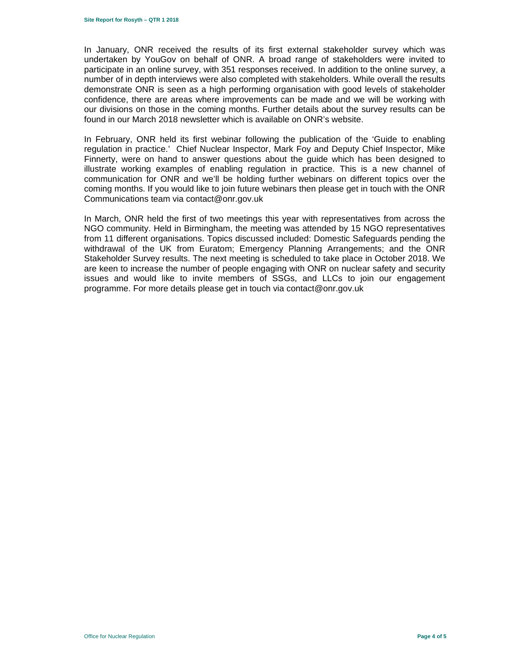In January, ONR received the results of its first external stakeholder survey which was undertaken by YouGov on behalf of ONR. A broad range of stakeholders were invited to participate in an online survey, with 351 responses received. In addition to the online survey, a number of in depth interviews were also completed with stakeholders. While overall the results demonstrate ONR is seen as a high performing organisation with good levels of stakeholder confidence, there are areas where improvements can be made and we will be working with our divisions on those in the coming months. Further details about the survey results can be found in our March 2018 newsletter which is available on ONR's website.

In February, ONR held its first webinar following the publication of the 'Guide to enabling regulation in practice.' Chief Nuclear Inspector, Mark Foy and Deputy Chief Inspector, Mike Finnerty, were on hand to answer questions about the guide which has been designed to illustrate working examples of enabling regulation in practice. This is a new channel of communication for ONR and we'll be holding further webinars on different topics over the coming months. If you would like to join future webinars then please get in touch with the ONR Communications team via contact@onr.gov.uk

In March, ONR held the first of two meetings this year with representatives from across the NGO community. Held in Birmingham, the meeting was attended by 15 NGO representatives from 11 different organisations. Topics discussed included: Domestic Safeguards pending the withdrawal of the UK from Euratom; Emergency Planning Arrangements; and the ONR Stakeholder Survey results. The next meeting is scheduled to take place in October 2018. We are keen to increase the number of people engaging with ONR on nuclear safety and security issues and would like to invite members of SSGs, and LLCs to join our engagement programme. For more details please get in touch via contact@onr.gov.uk